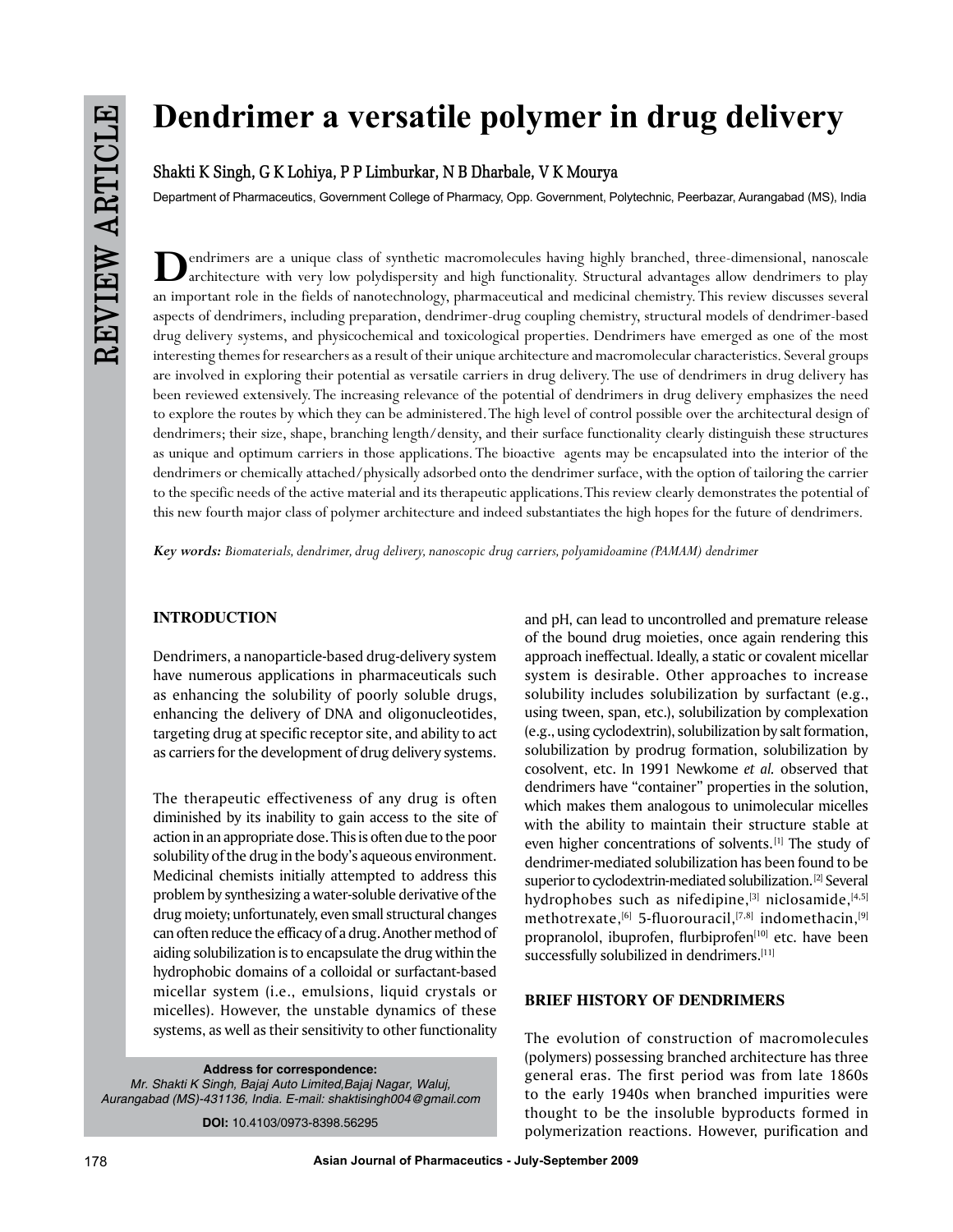# **Dendrimer a versatile polymer in drug delivery**

# **Shakti K Singh, G K Lohiya, P P Limburkar, N B Dharbale, V K Mourya**

Department of Pharmaceutics, Government College of Pharmacy, Opp. Government, Polytechnic, Peerbazar, Aurangabad (MS), India

**D**endrimers are a unique class of synthetic macromolecules having highly branched, three-dimensional, nanoscale architecture with very low polydispersity and high functionality. Structural advantages allow dendrimers to play an important role in the fields of nanotechnology, pharmaceutical and medicinal chemistry. This review discusses several aspects of dendrimers, including preparation, dendrimer-drug coupling chemistry, structural models of dendrimer-based drug delivery systems, and physicochemical and toxicological properties. Dendrimers have emerged as one of the most interesting themes for researchers as a result of their unique architecture and macromolecular characteristics. Several groups are involved in exploring their potential as versatile carriers in drug delivery. The use of dendrimers in drug delivery has been reviewed extensively. The increasing relevance of the potential of dendrimers in drug delivery emphasizes the need to explore the routes by which they can be administered. The high level of control possible over the architectural design of dendrimers; their size, shape, branching length/density, and their surface functionality clearly distinguish these structures as unique and optimum carriers in those applications. The bioactive agents may be encapsulated into the interior of the dendrimers or chemically attached/physically adsorbed onto the dendrimer surface, with the option of tailoring the carrier to the specific needs of the active material and its therapeutic applications. This review clearly demonstrates the potential of this new fourth major class of polymer architecture and indeed substantiates the high hopes for the future of dendrimers.

*Key words: Biomaterials, dendrimer, drug delivery, nanoscopic drug carriers, polyamidoamine (PAMAM) dendrimer*

# **INTRODUCTION**

Dendrimers, a nanoparticle-based drug-delivery system have numerous applications in pharmaceuticals such as enhancing the solubility of poorly soluble drugs, enhancing the delivery of DNA and oligonucleotides, targeting drug at specific receptor site, and ability to act as carriers for the development of drug delivery systems.

The therapeutic effectiveness of any drug is often diminished by its inability to gain access to the site of action in an appropriate dose. This is often due to the poor solubility of the drug in the body's aqueous environment. Medicinal chemists initially attempted to address this problem by synthesizing a water-soluble derivative of the drug moiety; unfortunately, even small structural changes can often reduce the efficacy of a drug. Another method of aiding solubilization is to encapsulate the drug within the hydrophobic domains of a colloidal or surfactant-based micellar system (i.e., emulsions, liquid crystals or micelles). However, the unstable dynamics of these systems, as well as their sensitivity to other functionality

**Address for correspondence:** *Mr. Shakti K Singh, Bajaj Auto Limited,Bajaj Nagar, Waluj, Aurangabad (MS)-431136, India. E-mail: shaktisingh004@gmail.com*

**DOI:** 10.4103/0973-8398.56295

and pH, can lead to uncontrolled and premature release of the bound drug moieties, once again rendering this approach ineffectual. Ideally, a static or covalent micellar system is desirable. Other approaches to increase solubility includes solubilization by surfactant (e.g., using tween, span, etc.), solubilization by complexation (e.g., using cyclodextrin), solubilization by salt formation, solubilization by prodrug formation, solubilization by cosolvent, etc. In 1991 Newkome *et al.* observed that dendrimers have "container" properties in the solution, which makes them analogous to unimolecular micelles with the ability to maintain their structure stable at even higher concentrations of solvents.<sup>[1]</sup> The study of dendrimer-mediated solubilization has been found to be superior to cyclodextrin-mediated solubilization.<sup>[2]</sup> Several hydrophobes such as nifedipine, $[3]$  niclosamide, $[4,5]$ methotrexate,<sup>[6]</sup> 5-fluorouracil,<sup>[7,8]</sup> indomethacin,<sup>[9]</sup> propranolol, ibuprofen, flurbiprofen<sup>[10]</sup> etc. have been successfully solubilized in dendrimers.<sup>[11]</sup>

# **BRIEF HISTORY OF DENDRIMERS**

The evolution of construction of macromolecules (polymers) possessing branched architecture has three general eras. The first period was from late 1860s to the early 1940s when branched impurities were thought to be the insoluble byproducts formed in polymerization reactions. However, purification and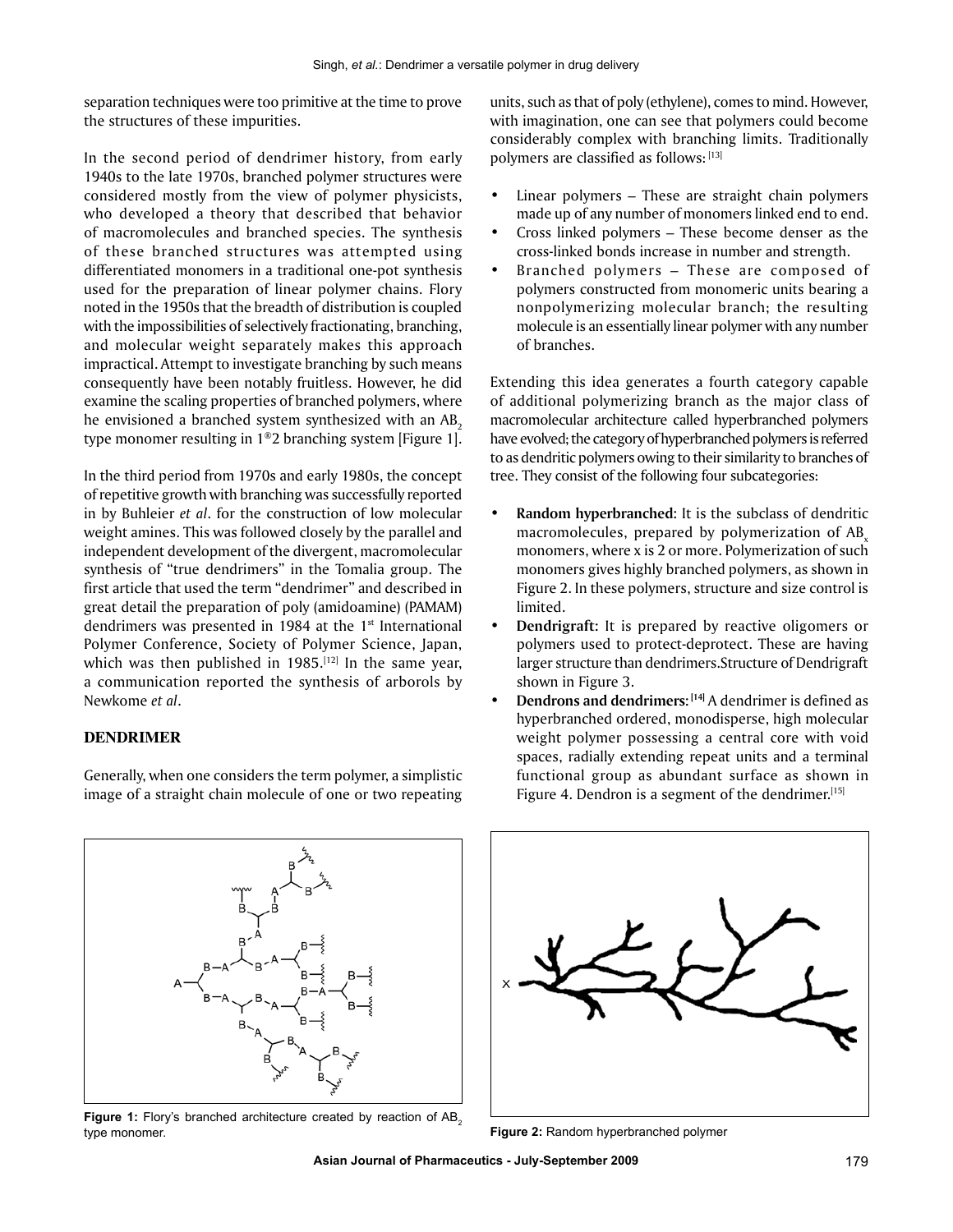separation techniques were too primitive at the time to prove the structures of these impurities.

In the second period of dendrimer history, from early 1940s to the late 1970s, branched polymer structures were considered mostly from the view of polymer physicists, who developed a theory that described that behavior of macromolecules and branched species. The synthesis of these branched structures was attempted using differentiated monomers in a traditional one-pot synthesis used for the preparation of linear polymer chains. Flory noted in the 1950s that the breadth of distribution is coupled with the impossibilities of selectively fractionating, branching, and molecular weight separately makes this approach impractical. Attempt to investigate branching by such means consequently have been notably fruitless. However, he did examine the scaling properties of branched polymers, where he envisioned a branched system synthesized with an  $AB$ <sub>2</sub> type monomer resulting in 1®2 branching system [Figure 1].

In the third period from 1970s and early 1980s, the concept of repetitive growth with branching was successfully reported in by Buhleier *et al*. for the construction of low molecular weight amines. This was followed closely by the parallel and independent development of the divergent, macromolecular synthesis of "true dendrimers" in the Tomalia group. The first article that used the term "dendrimer" and described in great detail the preparation of poly (amidoamine) (PAMAM) dendrimers was presented in 1984 at the 1<sup>st</sup> International Polymer Conference, Society of Polymer Science, Japan, which was then published in  $1985$ .<sup>[12]</sup> In the same year, a communication reported the synthesis of arborols by Newkome *et al*.

# **DENDRIMER**

Generally, when one considers the term polymer, a simplistic image of a straight chain molecule of one or two repeating units, such as that of poly (ethylene), comes to mind. However, with imagination, one can see that polymers could become considerably complex with branching limits. Traditionally polymers are classified as follows: [13]

- Linear polymers These are straight chain polymers made up of any number of monomers linked end to end.
- Cross linked polymers These become denser as the cross-linked bonds increase in number and strength.
- Branched polymers These are composed of polymers constructed from monomeric units bearing a nonpolymerizing molecular branch; the resulting molecule is an essentially linear polymer with any number of branches.

Extending this idea generates a fourth category capable of additional polymerizing branch as the major class of macromolecular architecture called hyperbranched polymers have evolved; the category of hyperbranched polymers is referred to as dendritic polymers owing to their similarity to branches of tree. They consist of the following four subcategories:

- **Random hyperbranched:** It is the subclass of dendritic macromolecules, prepared by polymerization of  $AB<sub>x</sub>$ monomers, where x is 2 or more. Polymerization of such monomers gives highly branched polymers, as shown in Figure 2. In these polymers, structure and size control is limited.
- **Dendrigraft:** It is prepared by reactive oligomers or polymers used to protect-deprotect. These are having larger structure than dendrimers.Structure of Dendrigraft shown in Figure 3.
- **Dendrons and dendrimers: [14]** A dendrimer is defined as hyperbranched ordered, monodisperse, high molecular weight polymer possessing a central core with void spaces, radially extending repeat units and a terminal functional group as abundant surface as shown in Figure 4. Dendron is a segment of the dendrimer.[15]



**Figure 1:** Flory's branched architecture created by reaction of  $AB_2$  type monomer.



Figure 2: Random hyperbranched polymer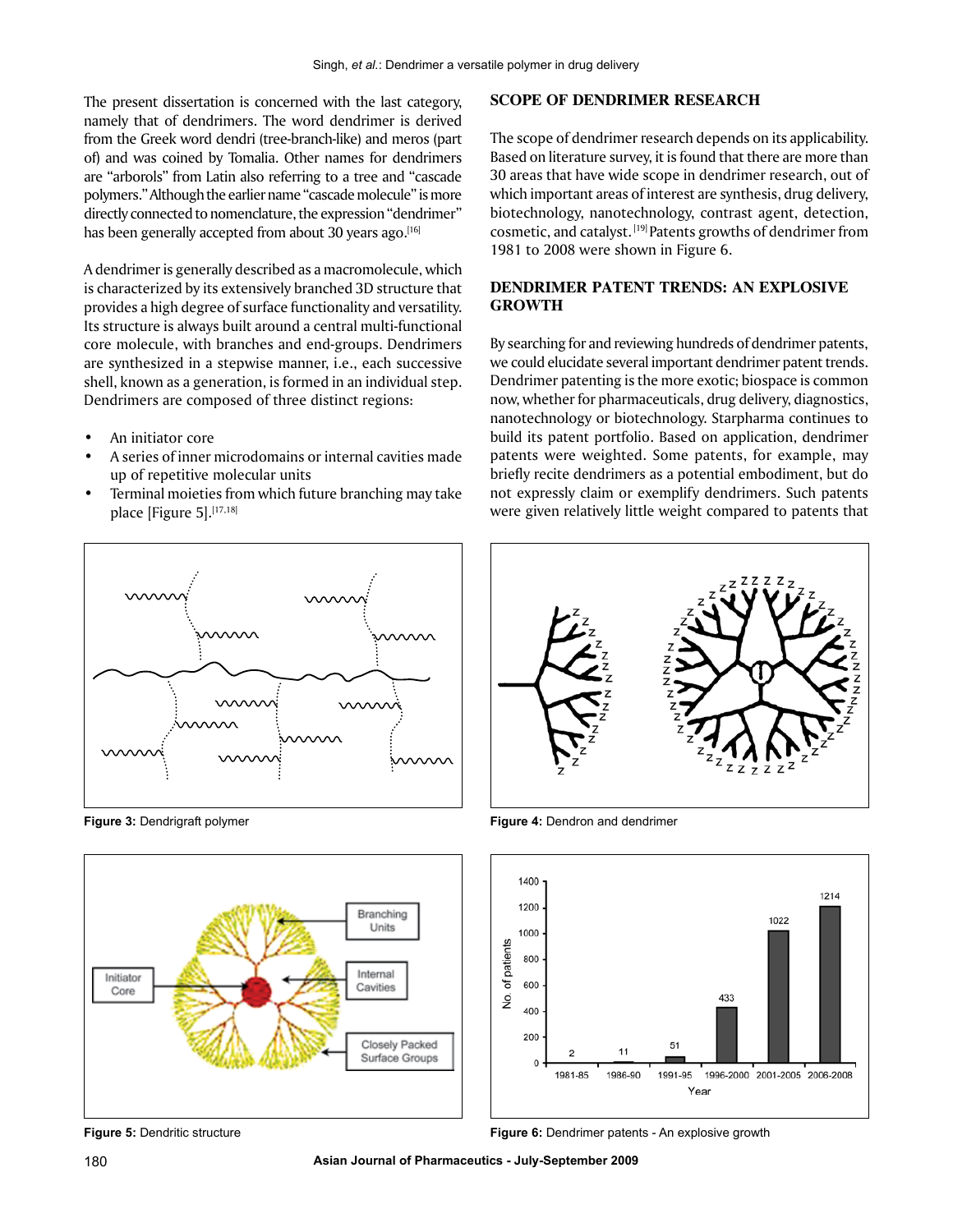The present dissertation is concerned with the last category, namely that of dendrimers. The word dendrimer is derived from the Greek word dendri (tree-branch-like) and meros (part of) and was coined by Tomalia. Other names for dendrimers are "arborols" from Latin also referring to a tree and "cascade polymers." Although the earlier name "cascade molecule" is more directly connected to nomenclature, the expression "dendrimer" has been generally accepted from about 30 years ago.[16]

A dendrimer is generally described as a macromolecule, which is characterized by its extensively branched 3D structure that provides a high degree of surface functionality and versatility. Its structure is always built around a central multi-functional core molecule, with branches and end-groups. Dendrimers are synthesized in a stepwise manner, i.e., each successive shell, known as a generation, is formed in an individual step. Dendrimers are composed of three distinct regions:

- An initiator core
- A series of inner microdomains or internal cavities made up of repetitive molecular units
- Terminal moieties from which future branching may take place [Figure 5].[17,18]





# **SCOPE OF DENDRIMER RESEARCH**

The scope of dendrimer research depends on its applicability. Based on literature survey, it is found that there are more than 30 areas that have wide scope in dendrimer research, out of which important areas of interest are synthesis, drug delivery, biotechnology, nanotechnology, contrast agent, detection, cosmetic, and catalyst. [19] Patents growths of dendrimer from 1981 to 2008 were shown in Figure 6.

# **DENDRIMER PATENT TRENDS: AN EXPLOSIVE GROWTH**

By searching for and reviewing hundreds of dendrimer patents, we could elucidate several important dendrimer patent trends. Dendrimer patenting is the more exotic; biospace is common now, whether for pharmaceuticals, drug delivery, diagnostics, nanotechnology or biotechnology. Starpharma continues to build its patent portfolio. Based on application, dendrimer patents were weighted. Some patents, for example, may briefly recite dendrimers as a potential embodiment, but do not expressly claim or exemplify dendrimers. Such patents were given relatively little weight compared to patents that



**Figure 3:** Dendrigraft polymer **Figure 4:** Dendron and dendrimer



**Figure 5:** Dendritic structure **Figure 6:** Dendrimer patents - An explosive growth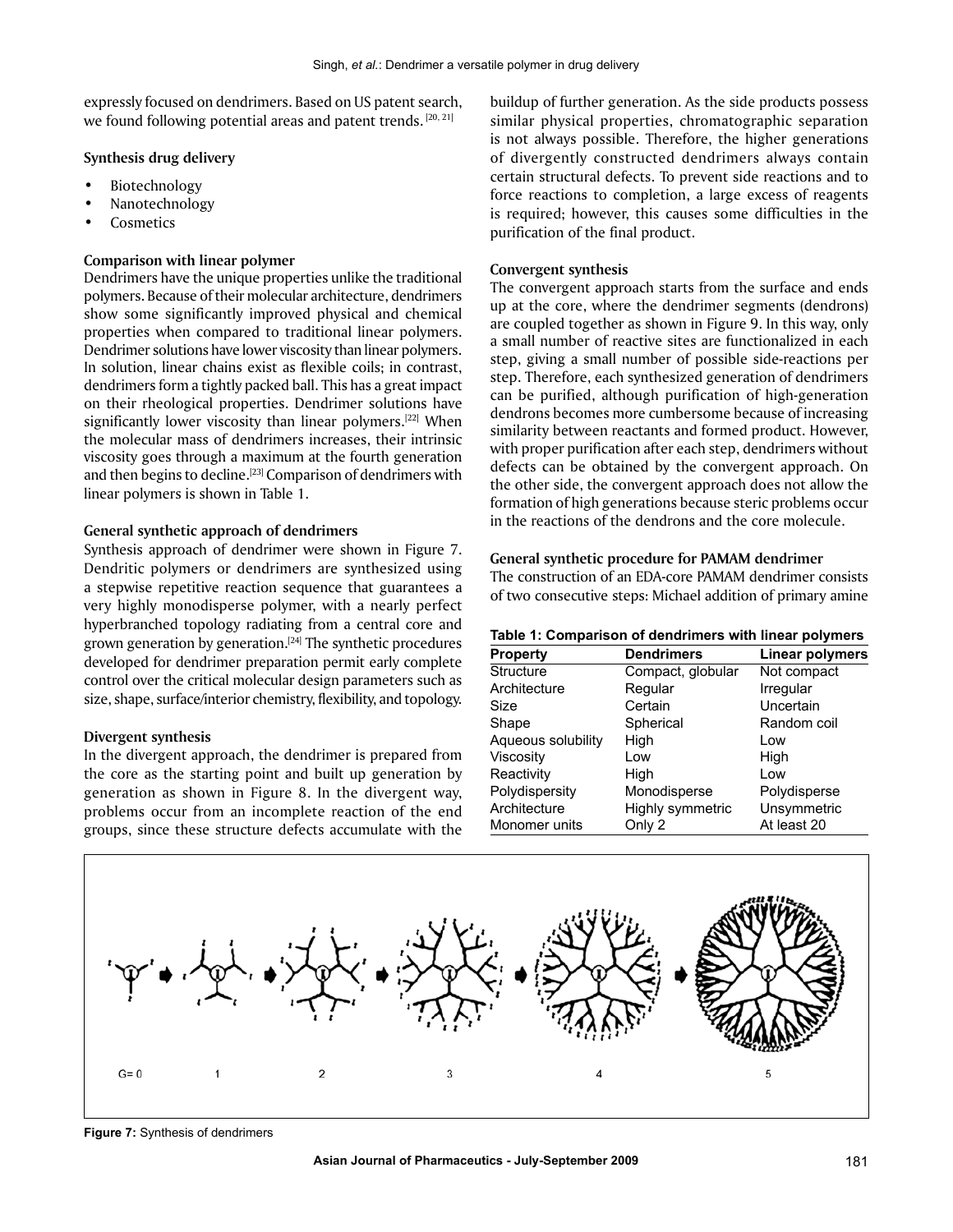expressly focused on dendrimers. Based on US patent search, we found following potential areas and patent trends. [20, 21]

#### **Synthesis drug delivery**

- Biotechnology
- Nanotechnology
- **Cosmetics**

# **Comparison with linear polymer**

Dendrimers have the unique properties unlike the traditional polymers. Because of their molecular architecture, dendrimers show some significantly improved physical and chemical properties when compared to traditional linear polymers. Dendrimer solutions have lower viscosity than linear polymers. In solution, linear chains exist as flexible coils; in contrast, dendrimers form a tightly packed ball. This has a great impact on their rheological properties. Dendrimer solutions have significantly lower viscosity than linear polymers.<sup>[22]</sup> When the molecular mass of dendrimers increases, their intrinsic viscosity goes through a maximum at the fourth generation and then begins to decline.<sup>[23]</sup> Comparison of dendrimers with linear polymers is shown in Table 1.

# **General synthetic approach of dendrimers**

Synthesis approach of dendrimer were shown in Figure 7. Dendritic polymers or dendrimers are synthesized using a stepwise repetitive reaction sequence that guarantees a very highly monodisperse polymer, with a nearly perfect hyperbranched topology radiating from a central core and grown generation by generation.[24] The synthetic procedures developed for dendrimer preparation permit early complete control over the critical molecular design parameters such as size, shape, surface/interior chemistry, flexibility, and topology.

# **Divergent synthesis**

In the divergent approach, the dendrimer is prepared from the core as the starting point and built up generation by generation as shown in Figure 8. In the divergent way, problems occur from an incomplete reaction of the end groups, since these structure defects accumulate with the

buildup of further generation. As the side products possess similar physical properties, chromatographic separation is not always possible. Therefore, the higher generations of divergently constructed dendrimers always contain certain structural defects. To prevent side reactions and to force reactions to completion, a large excess of reagents is required; however, this causes some difficulties in the purification of the final product.

# **Convergent synthesis**

The convergent approach starts from the surface and ends up at the core, where the dendrimer segments (dendrons) are coupled together as shown in Figure 9. In this way, only a small number of reactive sites are functionalized in each step, giving a small number of possible side-reactions per step. Therefore, each synthesized generation of dendrimers can be purified, although purification of high-generation dendrons becomes more cumbersome because of increasing similarity between reactants and formed product. However, with proper purification after each step, dendrimers without defects can be obtained by the convergent approach. On the other side, the convergent approach does not allow the formation of high generations because steric problems occur in the reactions of the dendrons and the core molecule.

# **General synthetic procedure for PAMAM dendrimer**

The construction of an EDA-core PAMAM dendrimer consists of two consecutive steps: Michael addition of primary amine

| Table 1: Comparison of dendrimers with linear polymers |  |  |
|--------------------------------------------------------|--|--|
|--------------------------------------------------------|--|--|

| Property           | <b>Dendrimers</b> | <b>Linear polymers</b> |
|--------------------|-------------------|------------------------|
| Structure          | Compact, globular | Not compact            |
| Architecture       | Regular           | Irregular              |
| Size               | Certain           | Uncertain              |
| Shape              | Spherical         | Random coil            |
| Aqueous solubility | High              | Low                    |
| Viscosity          | Low               | High                   |
| Reactivity         | High              | Low                    |
| Polydispersity     | Monodisperse      | Polydisperse           |
| Architecture       | Highly symmetric  | Unsymmetric            |
| Monomer units      | Only 2            | At least 20            |



**Figure 7:** Synthesis of dendrimers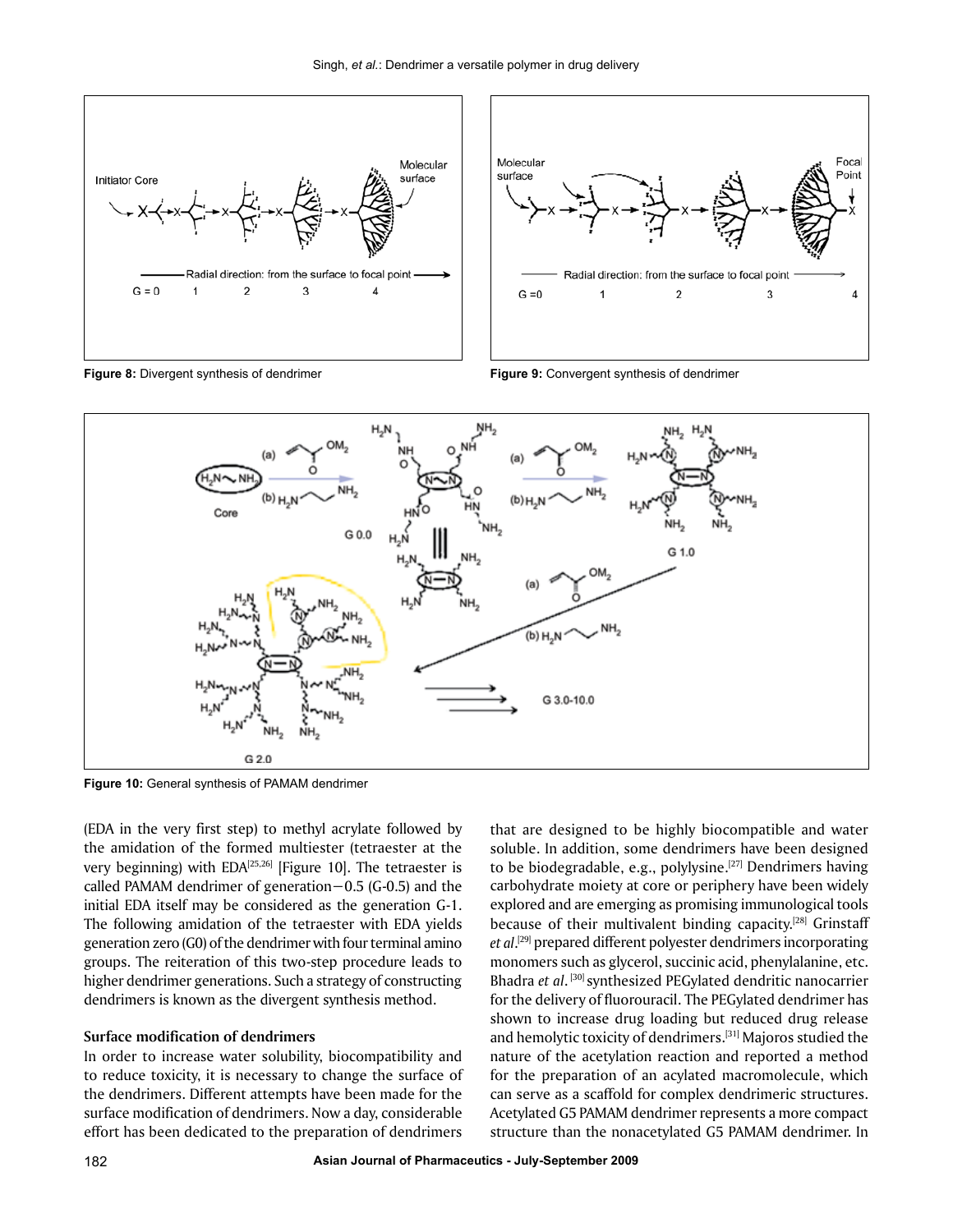



**Figure 8:** Divergent synthesis of dendrimer **Figure 9:** Convergent synthesis of dendrimer



**Figure 10:** General synthesis of PAMAM dendrimer

(EDA in the very first step) to methyl acrylate followed by the amidation of the formed multiester (tetraester at the very beginning) with EDA<sup>[25,26]</sup> [Figure 10]. The tetraester is called PAMAM dendrimer of generation−0.5 (G-0.5) and the initial EDA itself may be considered as the generation G-1. The following amidation of the tetraester with EDA yields generation zero (G0) of the dendrimer with four terminal amino groups. The reiteration of this two-step procedure leads to higher dendrimer generations. Such a strategy of constructing dendrimers is known as the divergent synthesis method.

# **Surface modification of dendrimers**

In order to increase water solubility, biocompatibility and to reduce toxicity, it is necessary to change the surface of the dendrimers. Different attempts have been made for the surface modification of dendrimers. Now a day, considerable effort has been dedicated to the preparation of dendrimers that are designed to be highly biocompatible and water soluble. In addition, some dendrimers have been designed to be biodegradable, e.g., polylysine.<sup>[27]</sup> Dendrimers having carbohydrate moiety at core or periphery have been widely explored and are emerging as promising immunological tools because of their multivalent binding capacity.<sup>[28]</sup> Grinstaff *et al*. [29] prepared different polyester dendrimers incorporating monomers such as glycerol, succinic acid, phenylalanine, etc. Bhadra et al.<sup>[30]</sup> synthesized PEGylated dendritic nanocarrier for the delivery of fluorouracil. The PEGylated dendrimer has shown to increase drug loading but reduced drug release and hemolytic toxicity of dendrimers.[31] Majoros studied the nature of the acetylation reaction and reported a method for the preparation of an acylated macromolecule, which can serve as a scaffold for complex dendrimeric structures. Acetylated G5 PAMAM dendrimer represents a more compact structure than the nonacetylated G5 PAMAM dendrimer. In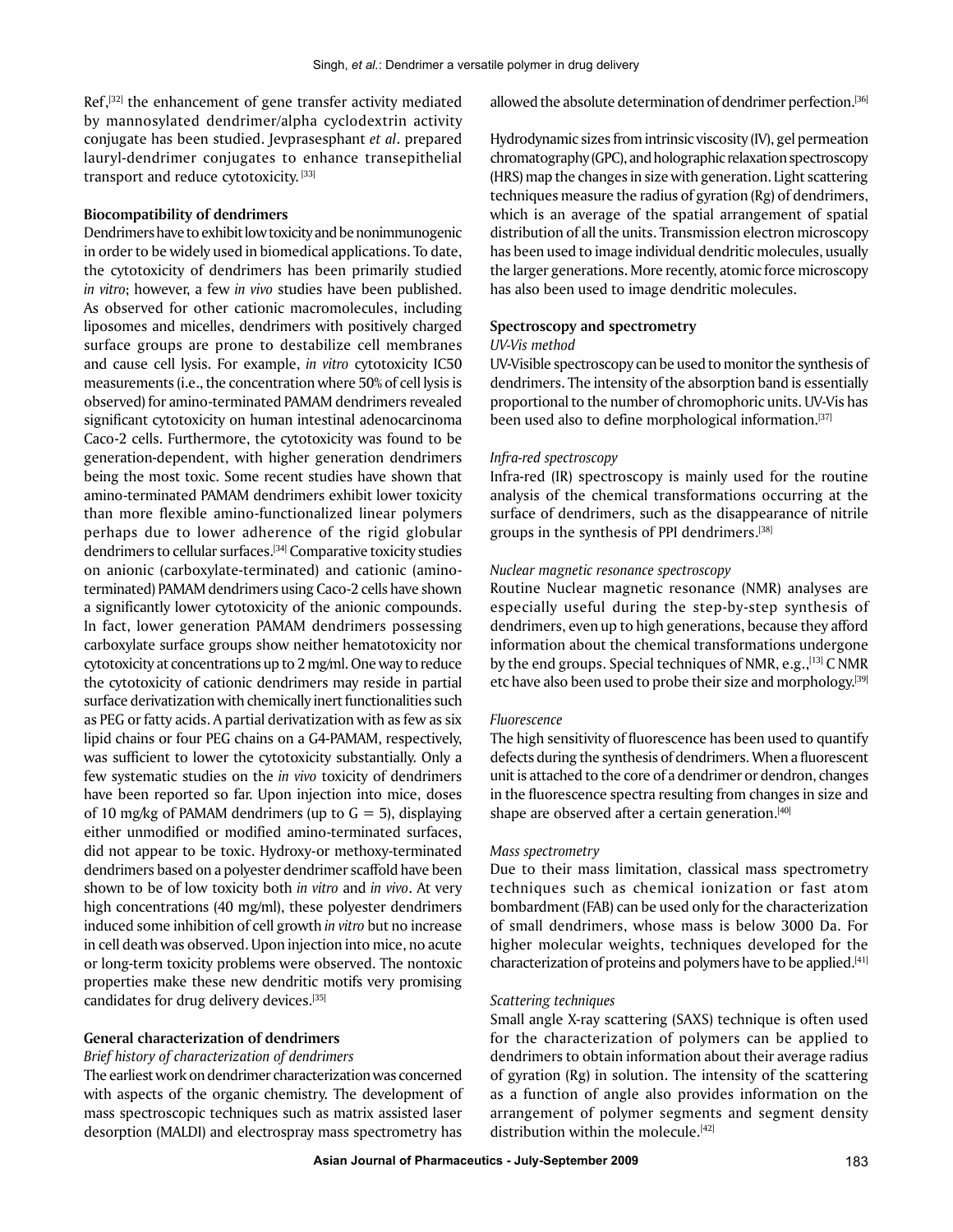$Ref,$ [32] the enhancement of gene transfer activity mediated by mannosylated dendrimer/alpha cyclodextrin activity conjugate has been studied. Jevprasesphant *et al*. prepared lauryl-dendrimer conjugates to enhance transepithelial transport and reduce cytotoxicity.<sup>[33]</sup>

# **Biocompatibility of dendrimers**

Dendrimers have to exhibit low toxicity and be nonimmunogenic in order to be widely used in biomedical applications. To date, the cytotoxicity of dendrimers has been primarily studied *in vitro*; however, a few *in vivo* studies have been published. As observed for other cationic macromolecules, including liposomes and micelles, dendrimers with positively charged surface groups are prone to destabilize cell membranes and cause cell lysis. For example, *in vitro* cytotoxicity IC50 measurements (i.e., the concentration where 50% of cell lysis is observed) for amino-terminated PAMAM dendrimers revealed significant cytotoxicity on human intestinal adenocarcinoma Caco-2 cells. Furthermore, the cytotoxicity was found to be generation-dependent, with higher generation dendrimers being the most toxic. Some recent studies have shown that amino-terminated PAMAM dendrimers exhibit lower toxicity than more flexible amino-functionalized linear polymers perhaps due to lower adherence of the rigid globular dendrimers to cellular surfaces.<sup>[34]</sup> Comparative toxicity studies on anionic (carboxylate-terminated) and cationic (aminoterminated) PAMAM dendrimers using Caco-2 cells have shown a significantly lower cytotoxicity of the anionic compounds. In fact, lower generation PAMAM dendrimers possessing carboxylate surface groups show neither hematotoxicity nor cytotoxicity at concentrations up to 2 mg/ml. One way to reduce the cytotoxicity of cationic dendrimers may reside in partial surface derivatization with chemically inert functionalities such as PEG or fatty acids. A partial derivatization with as few as six lipid chains or four PEG chains on a G4-PAMAM, respectively, was sufficient to lower the cytotoxicity substantially. Only a few systematic studies on the *in vivo* toxicity of dendrimers have been reported so far. Upon injection into mice, doses of 10 mg/kg of PAMAM dendrimers (up to  $G = 5$ ), displaying either unmodified or modified amino-terminated surfaces, did not appear to be toxic. Hydroxy-or methoxy-terminated dendrimers based on a polyester dendrimer scaffold have been shown to be of low toxicity both *in vitro* and *in vivo*. At very high concentrations (40 mg/ml), these polyester dendrimers induced some inhibition of cell growth *in vitro* but no increase in cell death was observed. Upon injection into mice, no acute or long-term toxicity problems were observed. The nontoxic properties make these new dendritic motifs very promising candidates for drug delivery devices.<sup>[35]</sup>

#### **General characterization of dendrimers**

#### *Brief history of characterization of dendrimers*

The earliest work on dendrimer characterization was concerned with aspects of the organic chemistry. The development of mass spectroscopic techniques such as matrix assisted laser desorption (MALDI) and electrospray mass spectrometry has

allowed the absolute determination of dendrimer perfection.[36]

Hydrodynamic sizes from intrinsic viscosity (IV), gel permeation chromatography (GPC), and holographic relaxation spectroscopy (HRS) map the changes in size with generation. Light scattering techniques measure the radius of gyration (Rg) of dendrimers, which is an average of the spatial arrangement of spatial distribution of all the units. Transmission electron microscopy has been used to image individual dendritic molecules, usually the larger generations. More recently, atomic force microscopy has also been used to image dendritic molecules.

# **Spectroscopy and spectrometry**

#### *UV-Vis method*

UV-Visible spectroscopy can be used to monitor the synthesis of dendrimers. The intensity of the absorption band is essentially proportional to the number of chromophoric units. UV-Vis has been used also to define morphological information.<sup>[37]</sup>

#### *Infra-red spectroscopy*

Infra-red (IR) spectroscopy is mainly used for the routine analysis of the chemical transformations occurring at the surface of dendrimers, such as the disappearance of nitrile groups in the synthesis of PPI dendrimers.[38]

#### *Nuclear magnetic resonance spectroscopy*

Routine Nuclear magnetic resonance (NMR) analyses are especially useful during the step-by-step synthesis of dendrimers, even up to high generations, because they afford information about the chemical transformations undergone by the end groups. Special techniques of NMR, e.g.,<sup>[13]</sup> C NMR etc have also been used to probe their size and morphology.[39]

#### *Fluorescence*

The high sensitivity of fluorescence has been used to quantify defects during the synthesis of dendrimers. When a fluorescent unit is attached to the core of a dendrimer or dendron, changes in the fluorescence spectra resulting from changes in size and shape are observed after a certain generation.<sup>[40]</sup>

#### *Mass spectrometry*

Due to their mass limitation, classical mass spectrometry techniques such as chemical ionization or fast atom bombardment (FAB) can be used only for the characterization of small dendrimers, whose mass is below 3000 Da. For higher molecular weights, techniques developed for the characterization of proteins and polymers have to be applied.[41]

#### *Scattering techniques*

Small angle X-ray scattering (SAXS) technique is often used for the characterization of polymers can be applied to dendrimers to obtain information about their average radius of gyration (Rg) in solution. The intensity of the scattering as a function of angle also provides information on the arrangement of polymer segments and segment density distribution within the molecule.<sup>[42]</sup>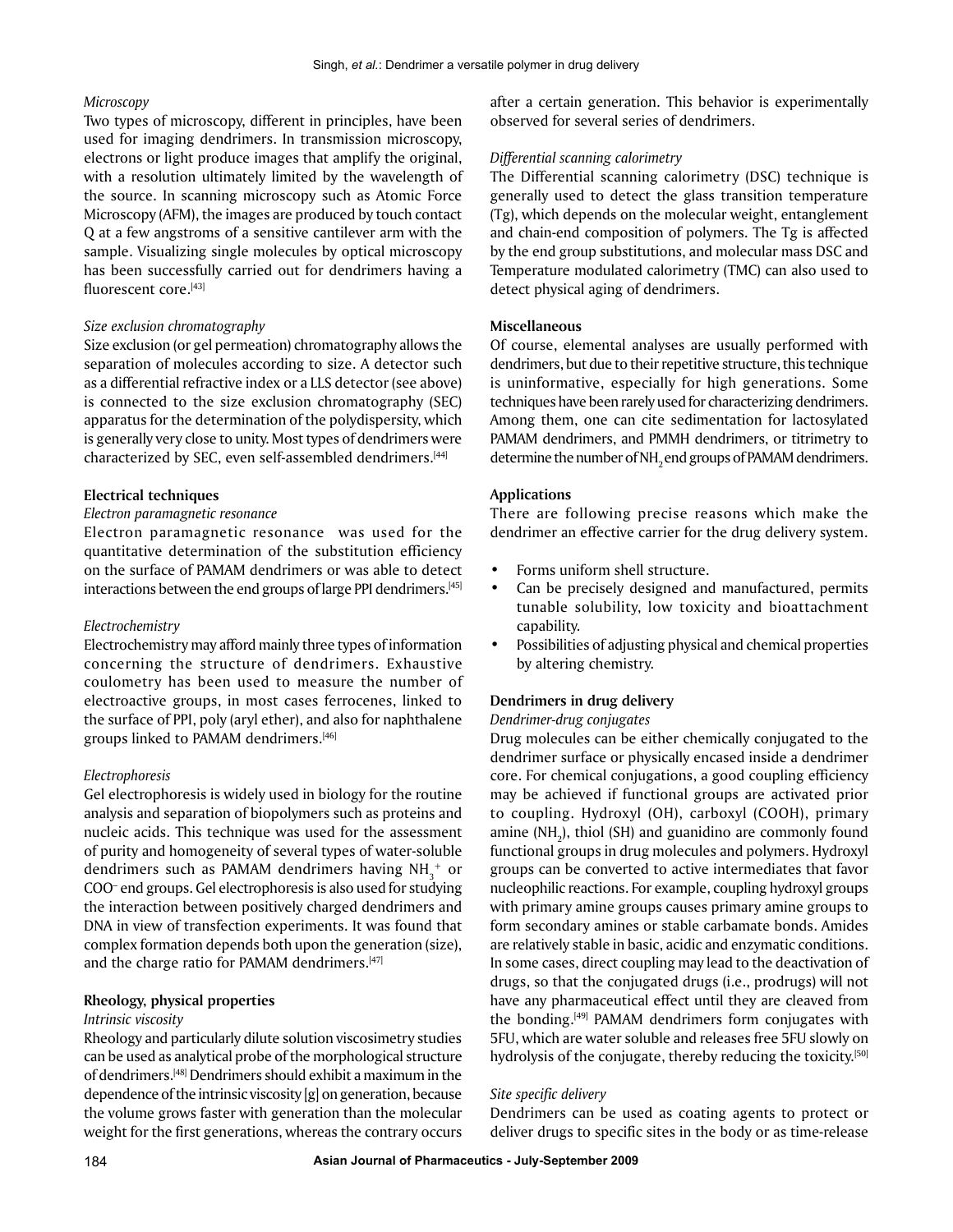# *Microscopy*

Two types of microscopy, different in principles, have been used for imaging dendrimers. In transmission microscopy, electrons or light produce images that amplify the original, with a resolution ultimately limited by the wavelength of the source. In scanning microscopy such as Atomic Force Microscopy (AFM), the images are produced by touch contact Q at a few angstroms of a sensitive cantilever arm with the sample. Visualizing single molecules by optical microscopy has been successfully carried out for dendrimers having a fluorescent core.[43]

# *Size exclusion chromatography*

Size exclusion (or gel permeation) chromatography allows the separation of molecules according to size. A detector such as a differential refractive index or a LLS detector (see above) is connected to the size exclusion chromatography (SEC) apparatus for the determination of the polydispersity, which is generally very close to unity. Most types of dendrimers were characterized by SEC, even self-assembled dendrimers.<sup>[44]</sup>

# **Electrical techniques**

# *Electron paramagnetic resonance*

Electron paramagnetic resonance was used for the quantitative determination of the substitution efficiency on the surface of PAMAM dendrimers or was able to detect interactions between the end groups of large PPI dendrimers.<sup>[45]</sup>

# *Electrochemistry*

Electrochemistry may afford mainly three types of information concerning the structure of dendrimers. Exhaustive coulometry has been used to measure the number of electroactive groups, in most cases ferrocenes, linked to the surface of PPI, poly (aryl ether), and also for naphthalene groups linked to PAMAM dendrimers.[46]

# *Electrophoresis*

Gel electrophoresis is widely used in biology for the routine analysis and separation of biopolymers such as proteins and nucleic acids. This technique was used for the assessment of purity and homogeneity of several types of water-soluble dendrimers such as PAMAM dendrimers having  $NH_3^+$  or COO– end groups. Gel electrophoresis is also used for studying the interaction between positively charged dendrimers and DNA in view of transfection experiments. It was found that complex formation depends both upon the generation (size), and the charge ratio for PAMAM dendrimers.<sup>[47]</sup>

# **Rheology, physical properties**

# *Intrinsic viscosity*

Rheology and particularly dilute solution viscosimetry studies can be used as analytical probe of the morphological structure of dendrimers.[48] Dendrimers should exhibit a maximum in the dependence of the intrinsic viscosity [g] on generation, because the volume grows faster with generation than the molecular weight for the first generations, whereas the contrary occurs after a certain generation. This behavior is experimentally observed for several series of dendrimers.

# *Differential scanning calorimetry*

The Differential scanning calorimetry (DSC) technique is generally used to detect the glass transition temperature (Tg), which depends on the molecular weight, entanglement and chain-end composition of polymers. The Tg is affected by the end group substitutions, and molecular mass DSC and Temperature modulated calorimetry (TMC) can also used to detect physical aging of dendrimers.

# **Miscellaneous**

Of course, elemental analyses are usually performed with dendrimers, but due to their repetitive structure, this technique is uninformative, especially for high generations. Some techniques have been rarely used for characterizing dendrimers. Among them, one can cite sedimentation for lactosylated PAMAM dendrimers, and PMMH dendrimers, or titrimetry to determine the number of NH<sub>2</sub> end groups of PAMAM dendrimers.

# **Applications**

There are following precise reasons which make the dendrimer an effective carrier for the drug delivery system.

- Forms uniform shell structure.
- Can be precisely designed and manufactured, permits tunable solubility, low toxicity and bioattachment capability.
- Possibilities of adjusting physical and chemical properties by altering chemistry.

# **Dendrimers in drug delivery**

# *Dendrimer-drug conjugates*

Drug molecules can be either chemically conjugated to the dendrimer surface or physically encased inside a dendrimer core. For chemical conjugations, a good coupling efficiency may be achieved if functional groups are activated prior to coupling. Hydroxyl (OH), carboxyl (COOH), primary amine (NH<sub>2</sub>), thiol (SH) and guanidino are commonly found functional groups in drug molecules and polymers. Hydroxyl groups can be converted to active intermediates that favor nucleophilic reactions. For example, coupling hydroxyl groups with primary amine groups causes primary amine groups to form secondary amines or stable carbamate bonds. Amides are relatively stable in basic, acidic and enzymatic conditions. In some cases, direct coupling may lead to the deactivation of drugs, so that the conjugated drugs (i.e., prodrugs) will not have any pharmaceutical effect until they are cleaved from the bonding.<sup>[49]</sup> PAMAM dendrimers form conjugates with 5FU, which are water soluble and releases free 5FU slowly on hydrolysis of the conjugate, thereby reducing the toxicity.<sup>[50]</sup>

# *Site specific delivery*

Dendrimers can be used as coating agents to protect or deliver drugs to specific sites in the body or as time-release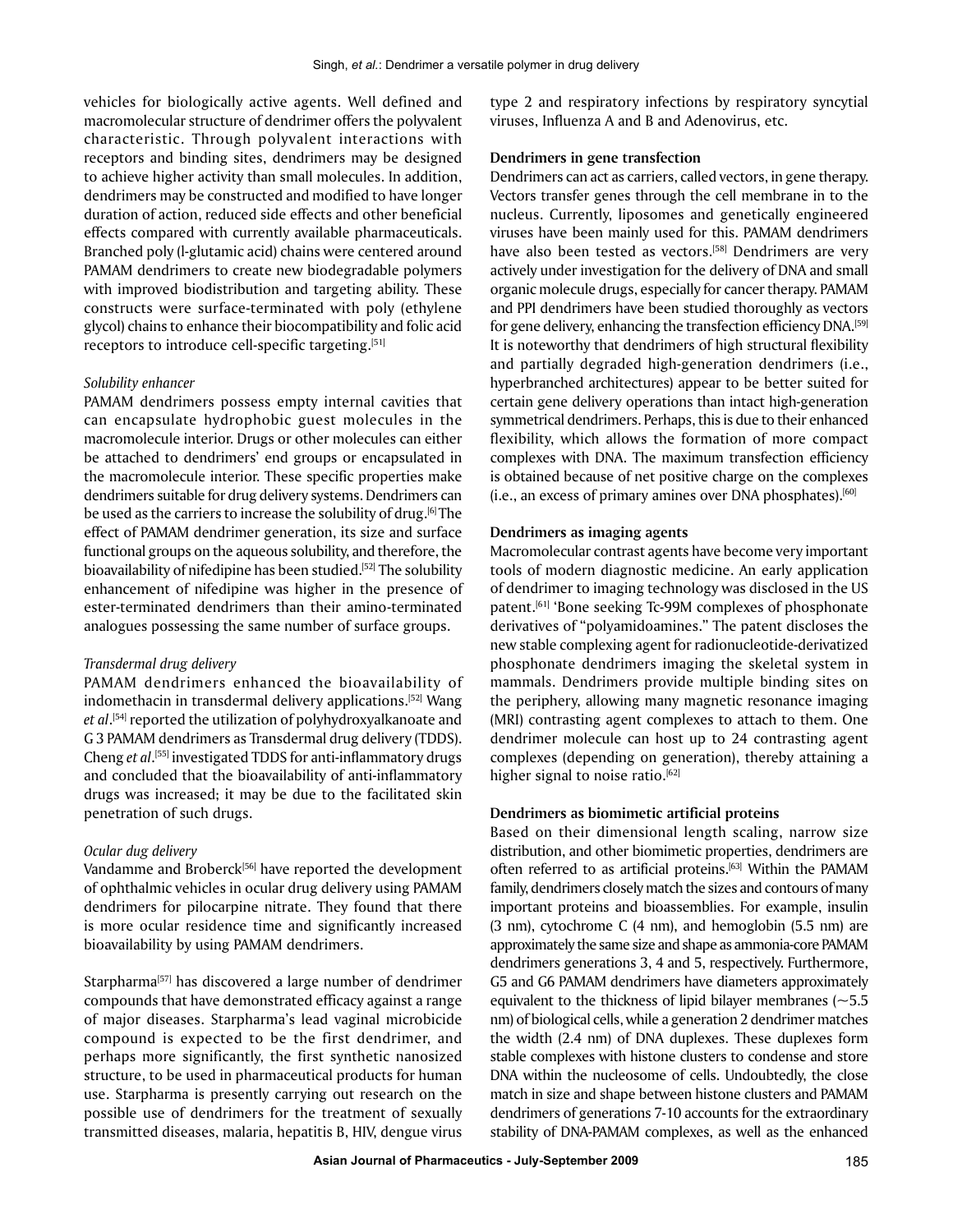vehicles for biologically active agents. Well defined and macromolecular structure of dendrimer offers the polyvalent characteristic. Through polyvalent interactions with receptors and binding sites, dendrimers may be designed to achieve higher activity than small molecules. In addition, dendrimers may be constructed and modified to have longer duration of action, reduced side effects and other beneficial effects compared with currently available pharmaceuticals. Branched poly (l-glutamic acid) chains were centered around PAMAM dendrimers to create new biodegradable polymers with improved biodistribution and targeting ability. These constructs were surface-terminated with poly (ethylene glycol) chains to enhance their biocompatibility and folic acid receptors to introduce cell-specific targeting.<sup>[51]</sup>

#### *Solubility enhancer*

PAMAM dendrimers possess empty internal cavities that can encapsulate hydrophobic guest molecules in the macromolecule interior. Drugs or other molecules can either be attached to dendrimers' end groups or encapsulated in the macromolecule interior. These specific properties make dendrimers suitable for drug delivery systems. Dendrimers can be used as the carriers to increase the solubility of drug.<sup>[6]</sup> The effect of PAMAM dendrimer generation, its size and surface functional groups on the aqueous solubility, and therefore, the bioavailability of nifedipine has been studied.<sup>[52]</sup> The solubility enhancement of nifedipine was higher in the presence of ester-terminated dendrimers than their amino-terminated analogues possessing the same number of surface groups.

#### *Transdermal drug delivery*

PAMAM dendrimers enhanced the bioavailability of indomethacin in transdermal delivery applications.<sup>[52]</sup> Wang *et al*. [54] reported the utilization of polyhydroxyalkanoate and G 3 PAMAM dendrimers as Transdermal drug delivery (TDDS). Cheng *et al*. [55] investigated TDDS for anti-inflammatory drugs and concluded that the bioavailability of anti-inflammatory drugs was increased; it may be due to the facilitated skin penetration of such drugs.

#### *Ocular dug delivery*

Vandamme and Broberck<sup>[56]</sup> have reported the development of ophthalmic vehicles in ocular drug delivery using PAMAM dendrimers for pilocarpine nitrate. They found that there is more ocular residence time and significantly increased bioavailability by using PAMAM dendrimers.

Starpharma<a>[57]</a> has discovered a large number of dendrimer compounds that have demonstrated efficacy against a range of major diseases. Starpharma's lead vaginal microbicide compound is expected to be the first dendrimer, and perhaps more significantly, the first synthetic nanosized structure, to be used in pharmaceutical products for human use. Starpharma is presently carrying out research on the possible use of dendrimers for the treatment of sexually transmitted diseases, malaria, hepatitis B, HIV, dengue virus type 2 and respiratory infections by respiratory syncytial viruses, Influenza A and B and Adenovirus, etc.

#### **Dendrimers in gene transfection**

Dendrimers can act as carriers, called vectors, in gene therapy. Vectors transfer genes through the cell membrane in to the nucleus. Currently, liposomes and genetically engineered viruses have been mainly used for this. PAMAM dendrimers have also been tested as vectors.<sup>[58]</sup> Dendrimers are very actively under investigation for the delivery of DNA and small organic molecule drugs, especially for cancer therapy. PAMAM and PPI dendrimers have been studied thoroughly as vectors for gene delivery, enhancing the transfection efficiency DNA.[59] It is noteworthy that dendrimers of high structural flexibility and partially degraded high-generation dendrimers (i.e., hyperbranched architectures) appear to be better suited for certain gene delivery operations than intact high-generation symmetrical dendrimers. Perhaps, this is due to their enhanced flexibility, which allows the formation of more compact complexes with DNA. The maximum transfection efficiency is obtained because of net positive charge on the complexes (i.e., an excess of primary amines over DNA phosphates).<sup>[60]</sup>

#### **Dendrimers as imaging agents**

Macromolecular contrast agents have become very important tools of modern diagnostic medicine. An early application of dendrimer to imaging technology was disclosed in the US patent.[61] 'Bone seeking Tc-99M complexes of phosphonate derivatives of "polyamidoamines." The patent discloses the new stable complexing agent for radionucleotide-derivatized phosphonate dendrimers imaging the skeletal system in mammals. Dendrimers provide multiple binding sites on the periphery, allowing many magnetic resonance imaging (MRI) contrasting agent complexes to attach to them. One dendrimer molecule can host up to 24 contrasting agent complexes (depending on generation), thereby attaining a higher signal to noise ratio. $[62]$ 

#### **Dendrimers as biomimetic artificial proteins**

Based on their dimensional length scaling, narrow size distribution, and other biomimetic properties, dendrimers are often referred to as artificial proteins.<sup>[63]</sup> Within the PAMAM family, dendrimers closely match the sizes and contours of many important proteins and bioassemblies. For example, insulin (3 nm), cytochrome C (4 nm), and hemoglobin (5.5 nm) are approximately the same size and shape as ammonia-core PAMAM dendrimers generations 3, 4 and 5, respectively. Furthermore, G5 and G6 PAMAM dendrimers have diameters approximately equivalent to the thickness of lipid bilayer membranes ( $\sim$  5.5 nm) of biological cells, while a generation 2 dendrimer matches the width (2.4 nm) of DNA duplexes. These duplexes form stable complexes with histone clusters to condense and store DNA within the nucleosome of cells. Undoubtedly, the close match in size and shape between histone clusters and PAMAM dendrimers of generations 7-10 accounts for the extraordinary stability of DNA-PAMAM complexes, as well as the enhanced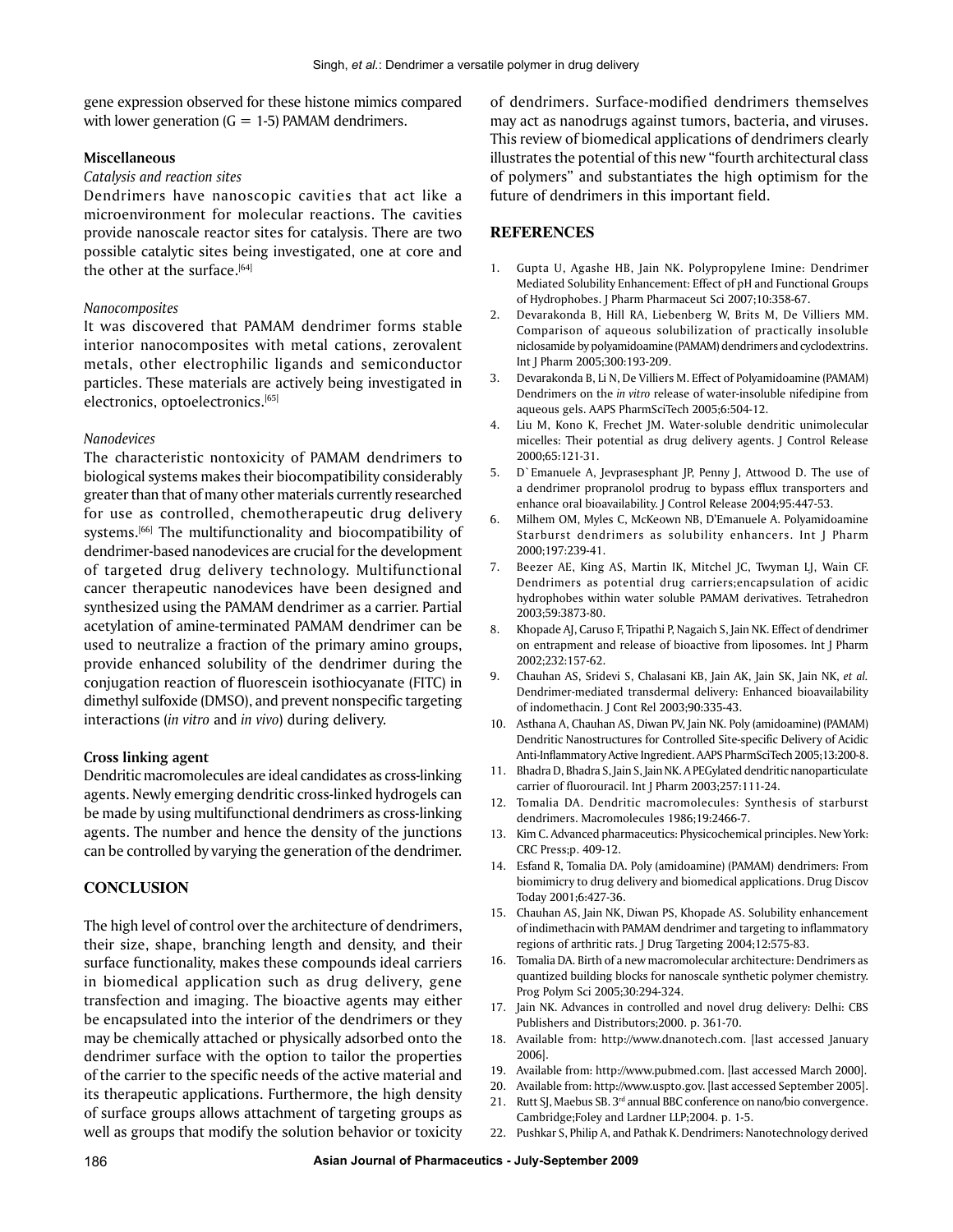gene expression observed for these histone mimics compared with lower generation  $(G = 1-5)$  PAMAM dendrimers.

#### **Miscellaneous**

#### *Catalysis and reaction sites*

Dendrimers have nanoscopic cavities that act like a microenvironment for molecular reactions. The cavities provide nanoscale reactor sites for catalysis. There are two possible catalytic sites being investigated, one at core and the other at the surface.[64]

#### *Nanocomposites*

It was discovered that PAMAM dendrimer forms stable interior nanocomposites with metal cations, zerovalent metals, other electrophilic ligands and semiconductor particles. These materials are actively being investigated in electronics, optoelectronics.<sup>[65]</sup>

#### *Nanodevices*

The characteristic nontoxicity of PAMAM dendrimers to biological systems makes their biocompatibility considerably greater than that of many other materials currently researched for use as controlled, chemotherapeutic drug delivery systems.[66] The multifunctionality and biocompatibility of dendrimer-based nanodevices are crucial for the development of targeted drug delivery technology. Multifunctional cancer therapeutic nanodevices have been designed and synthesized using the PAMAM dendrimer as a carrier. Partial acetylation of amine-terminated PAMAM dendrimer can be used to neutralize a fraction of the primary amino groups, provide enhanced solubility of the dendrimer during the conjugation reaction of fluorescein isothiocyanate (FITC) in dimethyl sulfoxide (DMSO), and prevent nonspecific targeting interactions (*in vitro* and *in vivo*) during delivery.

# **Cross linking agent**

Dendritic macromolecules are ideal candidates as cross-linking agents. Newly emerging dendritic cross-linked hydrogels can be made by using multifunctional dendrimers as cross-linking agents. The number and hence the density of the junctions can be controlled by varying the generation of the dendrimer.

# **CONCLUSION**

The high level of control over the architecture of dendrimers, their size, shape, branching length and density, and their surface functionality, makes these compounds ideal carriers in biomedical application such as drug delivery, gene transfection and imaging. The bioactive agents may either be encapsulated into the interior of the dendrimers or they may be chemically attached or physically adsorbed onto the dendrimer surface with the option to tailor the properties of the carrier to the specific needs of the active material and its therapeutic applications. Furthermore, the high density of surface groups allows attachment of targeting groups as well as groups that modify the solution behavior or toxicity of dendrimers. Surface-modified dendrimers themselves may act as nanodrugs against tumors, bacteria, and viruses. This review of biomedical applications of dendrimers clearly illustrates the potential of this new "fourth architectural class of polymers" and substantiates the high optimism for the future of dendrimers in this important field.

#### **REFERENCES**

- 1. Gupta U, Agashe HB, Jain NK. Polypropylene Imine: Dendrimer Mediated Solubility Enhancement: Effect of pH and Functional Groups of Hydrophobes. J Pharm Pharmaceut Sci 2007;10:358-67.
- 2. Devarakonda B, Hill RA, Liebenberg W, Brits M, De Villiers MM. Comparison of aqueous solubilization of practically insoluble niclosamide by polyamidoamine (PAMAM) dendrimers and cyclodextrins. Int J Pharm 2005;300:193-209.
- 3. Devarakonda B, Li N, De Villiers M. Effect of Polyamidoamine (PAMAM) Dendrimers on the *in vitro* release of water-insoluble nifedipine from aqueous gels. AAPS PharmSciTech 2005;6:504-12.
- 4. Liu M, Kono K, Frechet JM. Water-soluble dendritic unimolecular micelles: Their potential as drug delivery agents. J Control Release 2000;65:121-31.
- 5. D`Emanuele A, Jevprasesphant JP, Penny J, Attwood D. The use of a dendrimer propranolol prodrug to bypass efflux transporters and enhance oral bioavailability. J Control Release 2004;95:447-53.
- 6. Milhem OM, Myles C, McKeown NB, D'Emanuele A. Polyamidoamine Starburst dendrimers as solubility enhancers. Int J Pharm 2000;197:239-41.
- 7. Beezer AE, King AS, Martin IK, Mitchel JC, Twyman LJ, Wain CF. Dendrimers as potential drug carriers;encapsulation of acidic hydrophobes within water soluble PAMAM derivatives. Tetrahedron 2003;59:3873-80.
- 8. Khopade AJ, Caruso F, Tripathi P, Nagaich S, Jain NK. Effect of dendrimer on entrapment and release of bioactive from liposomes. Int J Pharm 2002;232:157-62.
- 9. Chauhan AS, Sridevi S, Chalasani KB, Jain AK, Jain SK, Jain NK, *et al.*  Dendrimer-mediated transdermal delivery: Enhanced bioavailability of indomethacin. J Cont Rel 2003;90:335-43.
- 10. Asthana A, Chauhan AS, Diwan PV, Jain NK. Poly (amidoamine) (PAMAM) Dendritic Nanostructures for Controlled Site-specific Delivery of Acidic Anti-Inflammatory Active Ingredient. AAPS PharmSciTech 2005;13:200-8.
- 11. Bhadra D, Bhadra S, Jain S, Jain NK. A PEGylated dendritic nanoparticulate carrier of fluorouracil. Int J Pharm 2003;257:111-24.
- 12. Tomalia DA. Dendritic macromolecules: Synthesis of starburst dendrimers. Macromolecules 1986;19:2466-7.
- 13. Kim C. Advanced pharmaceutics: Physicochemical principles. New York: CRC Press;p. 409-12.
- 14. Esfand R, Tomalia DA. Poly (amidoamine) (PAMAM) dendrimers: From biomimicry to drug delivery and biomedical applications. Drug Discov Today 2001;6:427-36.
- 15. Chauhan AS, Jain NK, Diwan PS, Khopade AS. Solubility enhancement of indimethacin with PAMAM dendrimer and targeting to inflammatory regions of arthritic rats. J Drug Targeting 2004;12:575-83.
- 16. Tomalia DA. Birth of a new macromolecular architecture: Dendrimers as quantized building blocks for nanoscale synthetic polymer chemistry. Prog Polym Sci 2005;30:294-324.
- 17. Jain NK. Advances in controlled and novel drug delivery: Delhi: CBS Publishers and Distributors;2000. p. 361-70.
- 18. Available from: http://www.dnanotech.com. [last accessed January 2006].
- 19. Available from: http://www.pubmed.com. [last accessed March 2000].
- 20. Available from: http://www.uspto.gov. [last accessed September 2005].
- 21. Rutt SJ, Maebus SB. 3rd annual BBC conference on nano/bio convergence. Cambridge;Foley and Lardner LLP;2004. p. 1-5.
- 22. Pushkar S, Philip A, and Pathak K. Dendrimers: Nanotechnology derived